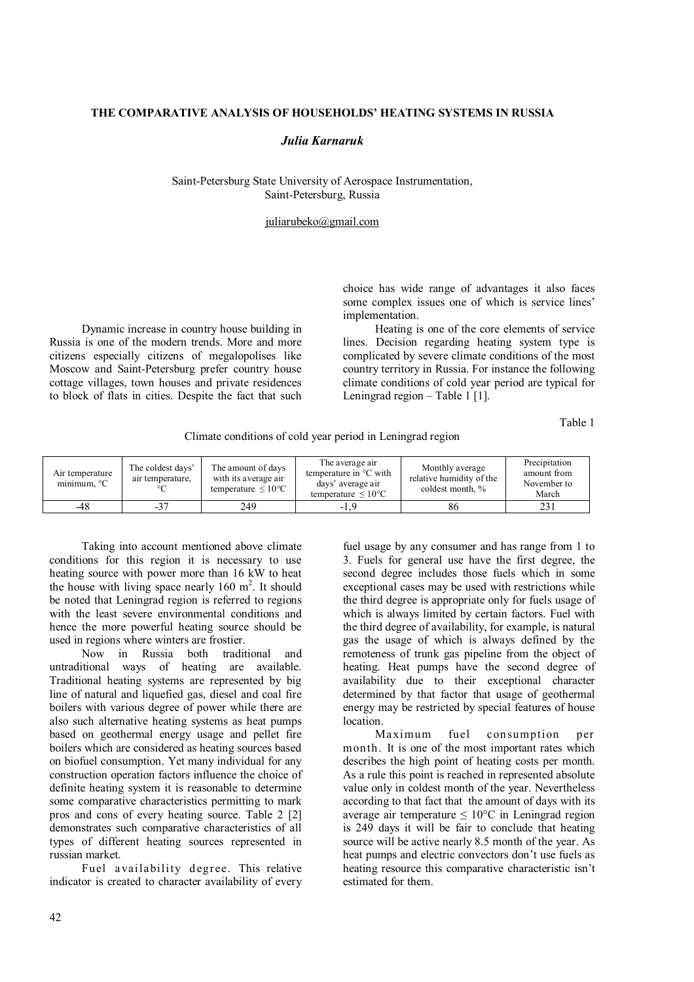## **THE COMPARATIVE ANALYSIS OF HOUSEHOLDS' HEATING SYSTEMS IN RUSSIA**

## *Julia Karnaruk*

Saint-Petersburg State University of Aerospace Instrumentation, Saint-Petersburg, Russia

## juliarubeko@gmail.com

Dynamic increase in country house building in Russia is one of the modern trends. More and more citizens especially citizens of megalopolises like Moscow and Saint-Petersburg prefer country house cottage villages, town houses and private residences to block of flats in cities. Despite the fact that such

choice has wide range of advantages it also faces some complex issues one of which is service lines' implementation.

Heating is one of the core elements of service lines. Decision regarding heating system type is complicated by severe climate conditions of the most country territory in Russia. For instance the following climate conditions of cold year period are typical for Leningrad region – Table 1  $[1]$ .

Table 1

Climate conditions of cold year period in Leningrad region

| Air temperature<br>minimum. $\mathrm{C}$ | The coldest days'<br>air temperature.<br>$\circ$ | The amount of days<br>with its average air<br>temperature $\leq 10^{\circ}$ C | The average air<br>temperature in $\mathrm{C}$ with<br>days' average air<br>temperature $\leq 10^{\circ}$ C | Monthly average<br>relative humidity of the<br>coldest month, % | Precipitation<br>amount from<br>November to<br>March |
|------------------------------------------|--------------------------------------------------|-------------------------------------------------------------------------------|-------------------------------------------------------------------------------------------------------------|-----------------------------------------------------------------|------------------------------------------------------|
| -48                                      | $-37$                                            | 249                                                                           | $-1.9$                                                                                                      | 86                                                              | 231                                                  |

Taking into account mentioned above climate conditions for this region it is necessary to use heating source with power more than 16 kW to heat the house with living space nearly  $160 \text{ m}^2$ . It should be noted that Leningrad region is referred to regions with the least severe environmental conditions and hence the more powerful heating source should be used in regions where winters are frostier.

Now in Russia both traditional and untraditional ways of heating are available. Traditional heating systems are represented by big line of natural and liquefied gas, diesel and coal fire boilers with various degree of power while there are also such alternative heating systems as heat pumps based on geothermal energy usage and pellet fire boilers which are considered as heating sources based on biofuel consumption. Yet many individual for any construction operation factors influence the choice of definite heating system it is reasonable to determine some comparative characteristics permitting to mark pros and cons of every heating source. Table 2 [2] demonstrates such comparative characteristics of all types of different heating sources represented in russian market.

Fuel availability degree. This relative indicator is created to character availability of every fuel usage by any consumer and has range from 1 to 3. Fuels for general use have the first degree, the second degree includes those fuels which in some exceptional cases may be used with restrictions while the third degree is appropriate only for fuels usage of which is always limited by certain factors. Fuel with the third degree of availability, for example, is natural gas the usage of which is always defined by the remoteness of trunk gas pipeline from the object of heating. Heat pumps have the second degree of availability due to their exceptional character determined by that factor that usage of geothermal energy may be restricted by special features of house location.<br>Maximum

fuel consumption per month. It is one of the most important rates which describes the high point of heating costs per month. As a rule this point is reached in represented absolute value only in coldest month of the year. Nevertheless according to that fact that the amount of days with its average air temperature  $\leq 10^{\circ}$ C in Leningrad region is 249 days it will be fair to conclude that heating source will be active nearly 8.5 month of the year. As heat pumps and electric convectors don't use fuels as heating resource this comparative characteristic isn't estimated for them.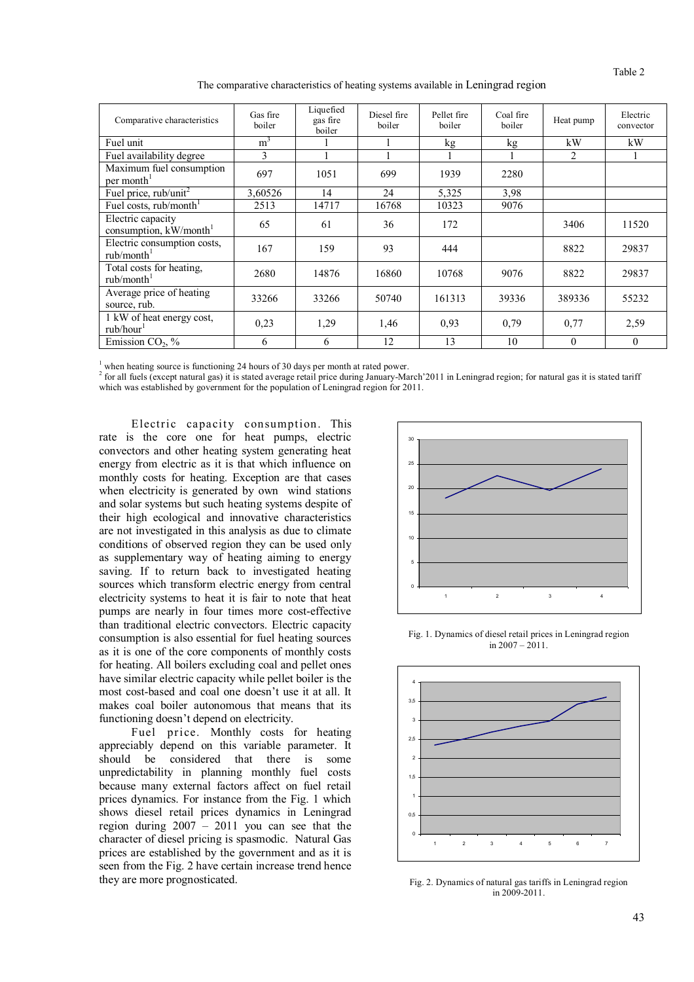Table 2

The comparative characteristics of heating systems available in Leningrad region

| Comparative characteristics                           | Gas fire<br>boiler | Liquefied<br>gas fire<br>boiler | Diesel fire<br>boiler | Pellet fire<br>boiler | Coal fire<br>boiler | Heat pump      | Electric<br>convector |
|-------------------------------------------------------|--------------------|---------------------------------|-----------------------|-----------------------|---------------------|----------------|-----------------------|
| Fuel unit                                             | m <sup>3</sup>     |                                 |                       | kg                    | kg                  | kW             | kW                    |
| Fuel availability degree                              | 3                  |                                 |                       |                       |                     | $\overline{c}$ |                       |
| Maximum fuel consumption<br>per month <sup>1</sup>    | 697                | 1051                            | 699                   | 1939                  | 2280                |                |                       |
| Fuel price, $rub/unit^2$                              | 3.60526            | 14                              | 24                    | 5,325                 | 3.98                |                |                       |
| Fuel costs, rub/month <sup>1</sup>                    | 2513               | 14717                           | 16768                 | 10323                 | 9076                |                |                       |
| Electric capacity<br>consumption, $kW/month1$         | 65                 | 61                              | 36                    | 172                   |                     | 3406           | 11520                 |
| Electric consumption costs,<br>rub/month <sup>1</sup> | 167                | 159                             | 93                    | 444                   |                     | 8822           | 29837                 |
| Total costs for heating,<br>rub/month <sup>1</sup>    | 2680               | 14876                           | 16860                 | 10768                 | 9076                | 8822           | 29837                 |
| Average price of heating<br>source, rub.              | 33266              | 33266                           | 50740                 | 161313                | 39336               | 389336         | 55232                 |
| 1 kW of heat energy cost,<br>rub/hour <sup>1</sup>    | 0.23               | 1,29                            | 1,46                  | 0,93                  | 0,79                | 0.77           | 2,59                  |
| Emission $CO2$ , %                                    | 6                  | 6                               | 12                    | 13                    | 10                  | $\theta$       | $\theta$              |

 $<sup>1</sup>$  when heating source is functioning 24 hours of 30 days per month at rated power.</sup>

 $^2$  for all fuels (except natural gas) it is stated average retail price during January-March'2011 in Leningrad region; for natural gas it is stated tariff which was established by government for the population of Leningrad region for 2011.

Electric capacity consumption. This rate is the core one for heat pumps, electric convectors and other heating system generating heat energy from electric as it is that which influence on monthly costs for heating. Exception are that cases when electricity is generated by own wind stations and solar systems but such heating systems despite of their high ecological and innovative characteristics are not investigated in this analysis as due to climate conditions of observed region they can be used only as supplementary way of heating aiming to energy saving. If to return back to investigated heating sources which transform electric energy from central electricity systems to heat it is fair to note that heat pumps are nearly in four times more cost-effective than traditional electric convectors. Electric capacity consumption is also essential for fuel heating sources as it is one of the core components of monthly costs for heating. All boilers excluding coal and pellet ones have similar electric capacity while pellet boiler is the most cost-based and coal one doesn't use it at all. It makes coal boiler autonomous that means that its functioning doesn't depend on electricity.

Fuel price. Monthly costs for heating appreciably depend on this variable parameter. It should be considered that there is some unpredictability in planning monthly fuel costs because many external factors affect on fuel retail prices dynamics. For instance from the Fig. 1 which shows diesel retail prices dynamics in Leningrad region during 2007 – 2011 you can see that the character of diesel pricing is spasmodic. Natural Gas prices are established by the government and as it is seen from the Fig. 2 have certain increase trend hence they are more prognosticated.



Fig. 1. Dynamics of diesel retail prices in Leningrad region in  $2007 - 2011$ .



Fig. 2. Dynamics of natural gas tariffs in Leningrad region in 2009-2011.